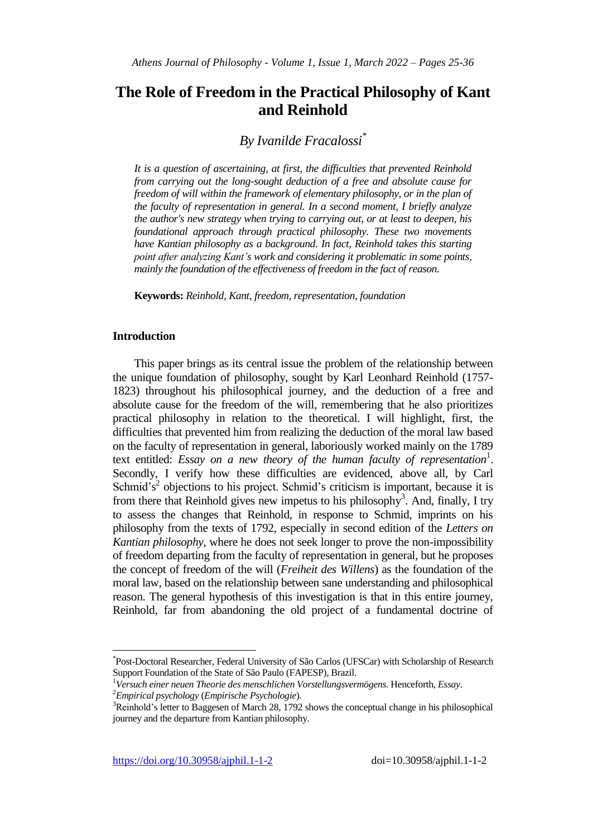# **The Role of Freedom in the Practical Philosophy of Kant and Reinhold**

# *By Ivanilde Fracalossi\**

*It is a question of ascertaining, at first, the difficulties that prevented Reinhold from carrying out the long-sought deduction of a free and absolute cause for freedom of will within the framework of elementary philosophy, or in the plan of the faculty of representation in general. In a second moment, I briefly analyze the author's new strategy when trying to carrying out, or at least to deepen, his foundational approach through practical philosophy. These two movements have Kantian philosophy as a background. In fact, Reinhold takes this starting point after analyzing Kant's work and considering it problematic in some points, mainly the foundation of the effectiveness of freedom in the fact of reason.*

**Keywords:** *Reinhold, Kant, freedom, representation, foundation*

### **Introduction**

 $\overline{\phantom{a}}$ 

This paper brings as its central issue the problem of the relationship between the unique foundation of philosophy, sought by Karl Leonhard Reinhold (1757- 1823) throughout his philosophical journey, and the deduction of a free and absolute cause for the freedom of the will, remembering that he also prioritizes practical philosophy in relation to the theoretical. I will highlight, first, the difficulties that prevented him from realizing the deduction of the moral law based on the faculty of representation in general, laboriously worked mainly on the 1789 text entitled: *Essay on a new theory of the human faculty of representation*<sup>1</sup>. Secondly, I verify how these difficulties are evidenced, above all, by Carl Schmid's<sup>2</sup> objections to his project. Schmid's criticism is important, because it is from there that Reinhold gives new impetus to his philosophy<sup>3</sup>. And, finally, I try to assess the changes that Reinhold, in response to Schmid, imprints on his philosophy from the texts of 1792, especially in second edition of the *Letters on Kantian philosophy*, where he does not seek longer to prove the non-impossibility of freedom departing from the faculty of representation in general, but he proposes the concept of freedom of the will (*Freiheit des Willens*) as the foundation of the moral law, based on the relationship between sane understanding and philosophical reason. The general hypothesis of this investigation is that in this entire journey, Reinhold, far from abandoning the old project of a fundamental doctrine of

<sup>\*</sup> Post-Doctoral Researcher, Federal University of São Carlos (UFSCar) with Scholarship of Research Support Foundation of the State of São Paulo (FAPESP), Brazil.

<sup>1</sup>*Versuch einer neuen Theorie des menschlichen Vorstellungsvermögens*. Henceforth, *Essay*.

<sup>2</sup>*Empirical psychology* (*Empirische Psychologie*)*.*

<sup>&</sup>lt;sup>3</sup>Reinhold's letter to Baggesen of March 28, 1792 shows the conceptual change in his philosophical journey and the departure from Kantian philosophy.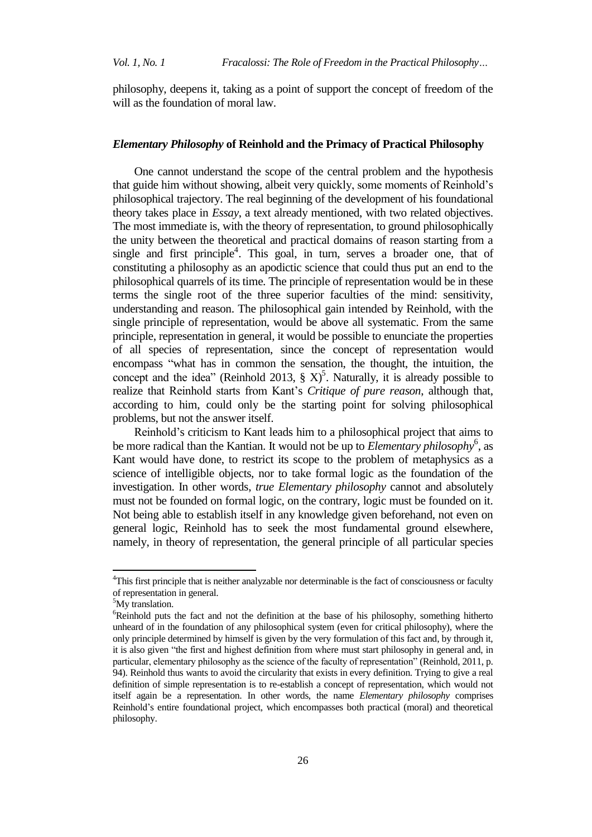philosophy, deepens it, taking as a point of support the concept of freedom of the will as the foundation of moral law.

#### *Elementary Philosophy* **of Reinhold and the Primacy of Practical Philosophy**

One cannot understand the scope of the central problem and the hypothesis that guide him without showing, albeit very quickly, some moments of Reinhold's philosophical trajectory. The real beginning of the development of his foundational theory takes place in *Essay*, a text already mentioned, with two related objectives. The most immediate is, with the theory of representation, to ground philosophically the unity between the theoretical and practical domains of reason starting from a single and first principle<sup>4</sup>. This goal, in turn, serves a broader one, that of constituting a philosophy as an apodictic science that could thus put an end to the philosophical quarrels of its time. The principle of representation would be in these terms the single root of the three superior faculties of the mind: sensitivity, understanding and reason. The philosophical gain intended by Reinhold, with the single principle of representation, would be above all systematic. From the same principle, representation in general, it would be possible to enunciate the properties of all species of representation, since the concept of representation would encompass "what has in common the sensation, the thought, the intuition, the concept and the idea" (Reinhold 2013,  $\S X$ )<sup>5</sup>. Naturally, it is already possible to realize that Reinhold starts from Kant's *Critique of pure reason*, although that, according to him, could only be the starting point for solving philosophical problems, but not the answer itself.

Reinhold's criticism to Kant leads him to a philosophical project that aims to be more radical than the Kantian. It would not be up to *Elementary philosophy*<sup>6</sup>, as Kant would have done, to restrict its scope to the problem of metaphysics as a science of intelligible objects, nor to take formal logic as the foundation of the investigation. In other words, *true Elementary philosophy* cannot and absolutely must not be founded on formal logic, on the contrary, logic must be founded on it. Not being able to establish itself in any knowledge given beforehand, not even on general logic, Reinhold has to seek the most fundamental ground elsewhere, namely, in theory of representation, the general principle of all particular species

 $\overline{\phantom{a}}$ 

<sup>&</sup>lt;sup>4</sup>This first principle that is neither analyzable nor determinable is the fact of consciousness or faculty of representation in general.

<sup>&</sup>lt;sup>5</sup>My translation.

 $6R$ einhold puts the fact and not the definition at the base of his philosophy, something hitherto unheard of in the foundation of any philosophical system (even for critical philosophy), where the only principle determined by himself is given by the very formulation of this fact and, by through it, it is also given "the first and highest definition from where must start philosophy in general and, in particular, elementary philosophy as the science of the faculty of representation" (Reinhold, 2011, p. 94). Reinhold thus wants to avoid the circularity that exists in every definition. Trying to give a real definition of simple representation is to re-establish a concept of representation, which would not itself again be a representation. In other words, the name *Elementary philosophy* comprises Reinhold's entire foundational project, which encompasses both practical (moral) and theoretical philosophy.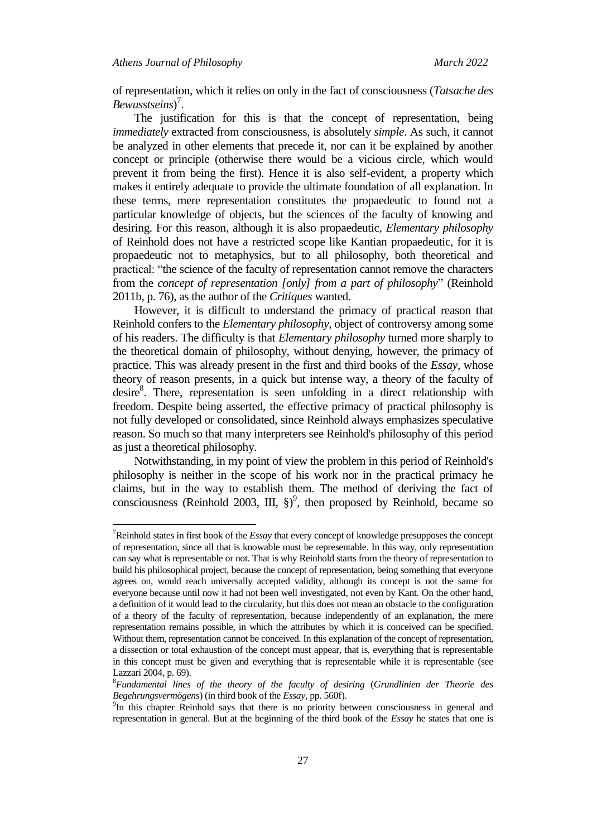$\overline{a}$ 

of representation, which it relies on only in the fact of consciousness (*Tatsache des Bewusstseins*) 7 .

The justification for this is that the concept of representation, being *immediately* extracted from consciousness, is absolutely *simple*. As such, it cannot be analyzed in other elements that precede it, nor can it be explained by another concept or principle (otherwise there would be a vicious circle, which would prevent it from being the first). Hence it is also self-evident, a property which makes it entirely adequate to provide the ultimate foundation of all explanation. In these terms, mere representation constitutes the propaedeutic to found not a particular knowledge of objects, but the sciences of the faculty of knowing and desiring. For this reason, although it is also propaedeutic, *Elementary philosophy* of Reinhold does not have a restricted scope like Kantian propaedeutic, for it is propaedeutic not to metaphysics, but to all philosophy, both theoretical and practical: "the science of the faculty of representation cannot remove the characters from the *concept of representation [only] from a part of philosophy*" (Reinhold 2011b, p. 76), as the author of the *Critiques* wanted.

However, it is difficult to understand the primacy of practical reason that Reinhold confers to the *Elementary philosophy*, object of controversy among some of his readers. The difficulty is that *Elementary philosophy* turned more sharply to the theoretical domain of philosophy, without denying, however, the primacy of practice. This was already present in the first and third books of the *Essay*, whose theory of reason presents, in a quick but intense way, a theory of the faculty of desire<sup>8</sup>. There, representation is seen unfolding in a direct relationship with freedom. Despite being asserted, the effective primacy of practical philosophy is not fully developed or consolidated, since Reinhold always emphasizes speculative reason. So much so that many interpreters see Reinhold's philosophy of this period as just a theoretical philosophy.

Notwithstanding, in my point of view the problem in this period of Reinhold's philosophy is neither in the scope of his work nor in the practical primacy he claims, but in the way to establish them. The method of deriving the fact of consciousness (Reinhold 2003, III,  $\S$ )<sup>9</sup>, then proposed by Reinhold, became so

<sup>7</sup>Reinhold states in first book of the *Essay* that every concept of knowledge presupposes the concept of representation, since all that is knowable must be representable. In this way, only representation can say what is representable or not. That is why Reinhold starts from the theory of representation to build his philosophical project, because the concept of representation, being something that everyone agrees on, would reach universally accepted validity, although its concept is not the same for everyone because until now it had not been well investigated, not even by Kant. On the other hand, a definition of it would lead to the circularity, but this does not mean an obstacle to the configuration of a theory of the faculty of representation, because independently of an explanation, the mere representation remains possible, in which the attributes by which it is conceived can be specified. Without them, representation cannot be conceived. In this explanation of the concept of representation, a dissection or total exhaustion of the concept must appear, that is, everything that is representable in this concept must be given and everything that is representable while it is representable (see Lazzari 2004, p. 69).

<sup>8</sup>*Fundamental lines of the theory of the faculty of desiring* (*Grundlinien der Theorie des Begehrungsvermögens*) (in third book of the *Essay,* pp. 560f).

<sup>&</sup>lt;sup>9</sup>In this chapter Reinhold says that there is no priority between consciousness in general and representation in general. But at the beginning of the third book of the *Essay* he states that one is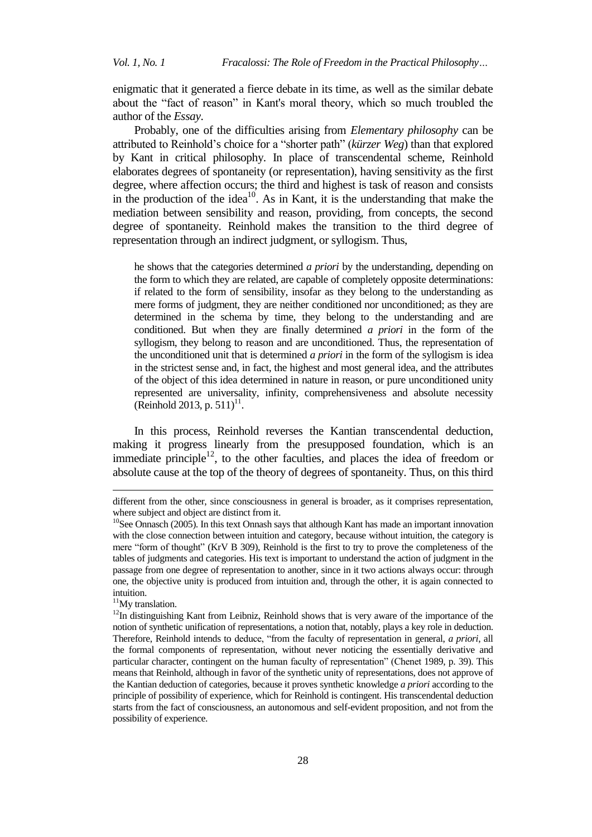enigmatic that it generated a fierce debate in its time, as well as the similar debate about the "fact of reason" in Kant's moral theory, which so much troubled the author of the *Essay*.

Probably, one of the difficulties arising from *Elementary philosophy* can be attributed to Reinhold's choice for a "shorter path" (*kürzer Weg*) than that explored by Kant in critical philosophy. In place of transcendental scheme, Reinhold elaborates degrees of spontaneity (or representation), having sensitivity as the first degree, where affection occurs; the third and highest is task of reason and consists in the production of the idea<sup>10</sup>. As in Kant, it is the understanding that make the mediation between sensibility and reason, providing, from concepts, the second degree of spontaneity. Reinhold makes the transition to the third degree of representation through an indirect judgment, or syllogism. Thus,

he shows that the categories determined *a priori* by the understanding, depending on the form to which they are related, are capable of completely opposite determinations: if related to the form of sensibility, insofar as they belong to the understanding as mere forms of judgment, they are neither conditioned nor unconditioned; as they are determined in the schema by time, they belong to the understanding and are conditioned. But when they are finally determined *a priori* in the form of the syllogism, they belong to reason and are unconditioned. Thus, the representation of the unconditioned unit that is determined *a priori* in the form of the syllogism is idea in the strictest sense and, in fact, the highest and most general idea, and the attributes of the object of this idea determined in nature in reason, or pure unconditioned unity represented are universality, infinity, comprehensiveness and absolute necessity  $(Rinhold 2013, p. 511)^{11}$ .

In this process, Reinhold reverses the Kantian transcendental deduction, making it progress linearly from the presupposed foundation, which is an immediate principle<sup>12</sup>, to the other faculties, and places the idea of freedom or absolute cause at the top of the theory of degrees of spontaneity. Thus, on this third

<sup>11</sup>My translation.

 $\overline{a}$ 

different from the other, since consciousness in general is broader, as it comprises representation, where subject and object are distinct from it.

<sup>&</sup>lt;sup>10</sup>See Onnasch (2005). In this text Onnash says that although Kant has made an important innovation with the close connection between intuition and category, because without intuition, the category is mere "form of thought" (KrV B 309), Reinhold is the first to try to prove the completeness of the tables of judgments and categories. His text is important to understand the action of judgment in the passage from one degree of representation to another, since in it two actions always occur: through one, the objective unity is produced from intuition and, through the other, it is again connected to intuition.

<sup>&</sup>lt;sup>12</sup>In distinguishing Kant from Leibniz, Reinhold shows that is very aware of the importance of the notion of synthetic unification of representations, a notion that, notably, plays a key role in deduction. Therefore, Reinhold intends to deduce, "from the faculty of representation in general, *a priori*, all the formal components of representation, without never noticing the essentially derivative and particular character, contingent on the human faculty of representation" (Chenet 1989, p. 39). This means that Reinhold, although in favor of the synthetic unity of representations, does not approve of the Kantian deduction of categories, because it proves synthetic knowledge *a priori* according to the principle of possibility of experience, which for Reinhold is contingent. His transcendental deduction starts from the fact of consciousness, an autonomous and self-evident proposition, and not from the possibility of experience.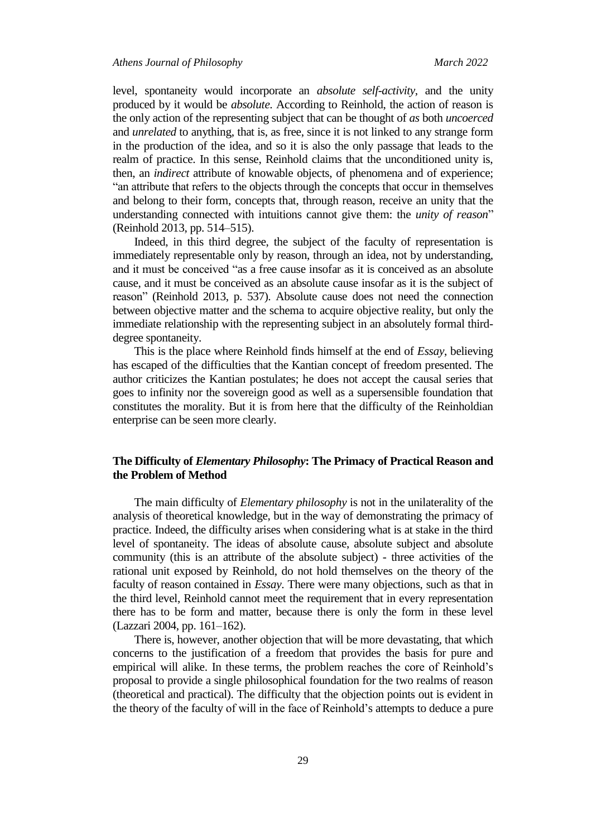level, spontaneity would incorporate an *absolute self-activity*, and the unity produced by it would be *absolute*. According to Reinhold, the action of reason is the only action of the representing subject that can be thought of *as* both *uncoerced* and *unrelated* to anything, that is, as free, since it is not linked to any strange form in the production of the idea, and so it is also the only passage that leads to the realm of practice. In this sense, Reinhold claims that the unconditioned unity is, then, an *indirect* attribute of knowable objects, of phenomena and of experience; "an attribute that refers to the objects through the concepts that occur in themselves and belong to their form, concepts that, through reason, receive an unity that the understanding connected with intuitions cannot give them: the *unity of reason*" (Reinhold 2013, pp. 514–515).

Indeed, in this third degree, the subject of the faculty of representation is immediately representable only by reason, through an idea, not by understanding, and it must be conceived "as a free cause insofar as it is conceived as an absolute cause, and it must be conceived as an absolute cause insofar as it is the subject of reason" (Reinhold 2013, p. 537). Absolute cause does not need the connection between objective matter and the schema to acquire objective reality, but only the immediate relationship with the representing subject in an absolutely formal thirddegree spontaneity.

This is the place where Reinhold finds himself at the end of *Essay*, believing has escaped of the difficulties that the Kantian concept of freedom presented. The author criticizes the Kantian postulates; he does not accept the causal series that goes to infinity nor the sovereign good as well as a supersensible foundation that constitutes the morality. But it is from here that the difficulty of the Reinholdian enterprise can be seen more clearly.

# **The Difficulty of** *Elementary Philosophy***: The Primacy of Practical Reason and the Problem of Method**

The main difficulty of *Elementary philosophy* is not in the unilaterality of the analysis of theoretical knowledge, but in the way of demonstrating the primacy of practice. Indeed, the difficulty arises when considering what is at stake in the third level of spontaneity. The ideas of absolute cause, absolute subject and absolute community (this is an attribute of the absolute subject) - three activities of the rational unit exposed by Reinhold, do not hold themselves on the theory of the faculty of reason contained in *Essay*. There were many objections, such as that in the third level, Reinhold cannot meet the requirement that in every representation there has to be form and matter, because there is only the form in these level (Lazzari 2004, pp. 161–162).

There is, however, another objection that will be more devastating, that which concerns to the justification of a freedom that provides the basis for pure and empirical will alike. In these terms, the problem reaches the core of Reinhold's proposal to provide a single philosophical foundation for the two realms of reason (theoretical and practical). The difficulty that the objection points out is evident in the theory of the faculty of will in the face of Reinhold's attempts to deduce a pure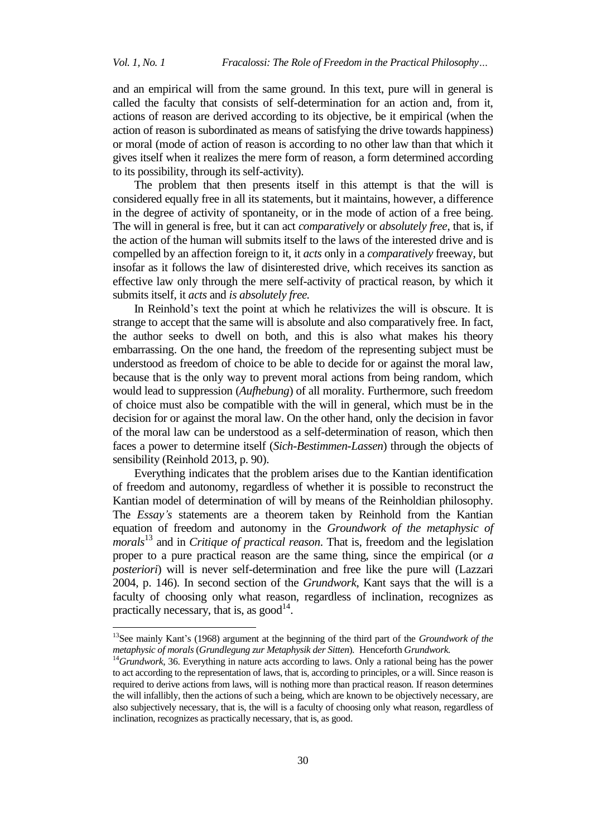$\overline{a}$ 

and an empirical will from the same ground. In this text, pure will in general is called the faculty that consists of self-determination for an action and, from it, actions of reason are derived according to its objective, be it empirical (when the action of reason is subordinated as means of satisfying the drive towards happiness) or moral (mode of action of reason is according to no other law than that which it gives itself when it realizes the mere form of reason, a form determined according to its possibility, through its self-activity).

The problem that then presents itself in this attempt is that the will is considered equally free in all its statements, but it maintains, however, a difference in the degree of activity of spontaneity, or in the mode of action of a free being. The will in general is free, but it can act *comparatively* or *absolutely free*, that is, if the action of the human will submits itself to the laws of the interested drive and is compelled by an affection foreign to it, it *acts* only in a *comparatively* freeway, but insofar as it follows the law of disinterested drive, which receives its sanction as effective law only through the mere self-activity of practical reason, by which it submits itself, it *acts* and *is absolutely free.*

In Reinhold's text the point at which he relativizes the will is obscure. It is strange to accept that the same will is absolute and also comparatively free. In fact, the author seeks to dwell on both, and this is also what makes his theory embarrassing. On the one hand, the freedom of the representing subject must be understood as freedom of choice to be able to decide for or against the moral law, because that is the only way to prevent moral actions from being random, which would lead to suppression (*Aufhebung*) of all morality. Furthermore, such freedom of choice must also be compatible with the will in general, which must be in the decision for or against the moral law. On the other hand, only the decision in favor of the moral law can be understood as a self-determination of reason, which then faces a power to determine itself (*Sich-Bestimmen-Lassen*) through the objects of sensibility (Reinhold 2013, p. 90).

Everything indicates that the problem arises due to the Kantian identification of freedom and autonomy, regardless of whether it is possible to reconstruct the Kantian model of determination of will by means of the Reinholdian philosophy. The *Essay's* statements are a theorem taken by Reinhold from the Kantian equation of freedom and autonomy in the *Groundwork of the metaphysic of morals*<sup>13</sup> and in *Critique of practical reason*. That is, freedom and the legislation proper to a pure practical reason are the same thing, since the empirical (or *a posteriori*) will is never self-determination and free like the pure will (Lazzari 2004, p. 146). In second section of the *Grundwork*, Kant says that the will is a faculty of choosing only what reason, regardless of inclination, recognizes as practically necessary, that is, as  $\text{good}^{14}$ .

<sup>13</sup>See mainly Kant's (1968) argument at the beginning of the third part of the *Groundwork of the metaphysic of morals* (*Grundlegung zur Metaphysik der Sitten*)*.* Henceforth *Grundwork.* 

<sup>&</sup>lt;sup>14</sup>Grundwork, 36. Everything in nature acts according to laws. Only a rational being has the power to act according to the representation of laws, that is, according to principles, or a will. Since reason is required to derive actions from laws, will is nothing more than practical reason. If reason determines the will infallibly, then the actions of such a being, which are known to be objectively necessary, are also subjectively necessary, that is, the will is a faculty of choosing only what reason, regardless of inclination, recognizes as practically necessary, that is, as good.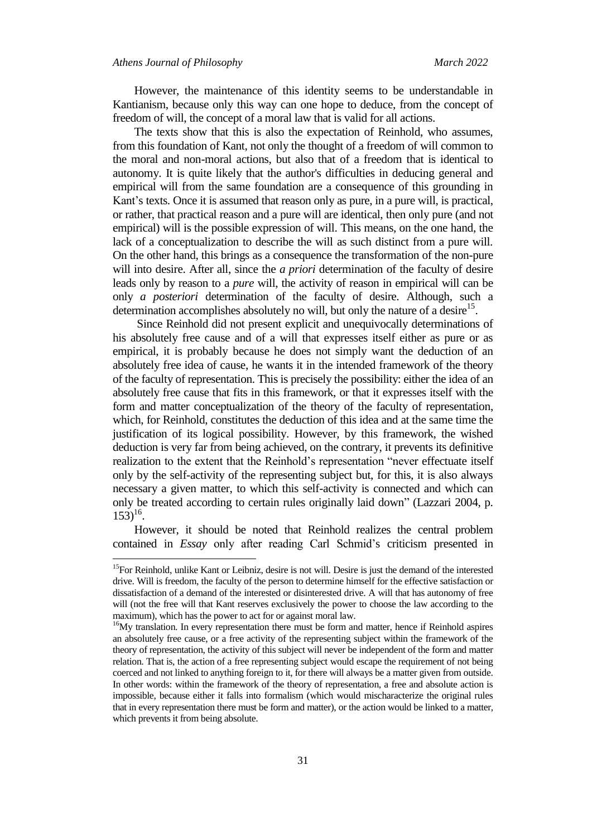$\overline{a}$ 

However, the maintenance of this identity seems to be understandable in Kantianism, because only this way can one hope to deduce, from the concept of freedom of will, the concept of a moral law that is valid for all actions.

The texts show that this is also the expectation of Reinhold, who assumes, from this foundation of Kant, not only the thought of a freedom of will common to the moral and non-moral actions, but also that of a freedom that is identical to autonomy. It is quite likely that the author's difficulties in deducing general and empirical will from the same foundation are a consequence of this grounding in Kant's texts. Once it is assumed that reason only as pure, in a pure will, is practical, or rather, that practical reason and a pure will are identical, then only pure (and not empirical) will is the possible expression of will. This means, on the one hand, the lack of a conceptualization to describe the will as such distinct from a pure will. On the other hand, this brings as a consequence the transformation of the non-pure will into desire. After all, since the *a priori* determination of the faculty of desire leads only by reason to a *pure* will, the activity of reason in empirical will can be only *a posteriori* determination of the faculty of desire. Although, such a determination accomplishes absolutely no will, but only the nature of a desire $15$ .

Since Reinhold did not present explicit and unequivocally determinations of his absolutely free cause and of a will that expresses itself either as pure or as empirical, it is probably because he does not simply want the deduction of an absolutely free idea of cause, he wants it in the intended framework of the theory of the faculty of representation. This is precisely the possibility: either the idea of an absolutely free cause that fits in this framework, or that it expresses itself with the form and matter conceptualization of the theory of the faculty of representation, which, for Reinhold, constitutes the deduction of this idea and at the same time the justification of its logical possibility. However, by this framework, the wished deduction is very far from being achieved, on the contrary, it prevents its definitive realization to the extent that the Reinhold's representation "never effectuate itself only by the self-activity of the representing subject but, for this, it is also always necessary a given matter, to which this self-activity is connected and which can only be treated according to certain rules originally laid down" (Lazzari 2004, p.  $153)^{16}$ .

However, it should be noted that Reinhold realizes the central problem contained in *Essay* only after reading Carl Schmid's criticism presented in

<sup>&</sup>lt;sup>15</sup>For Reinhold, unlike Kant or Leibniz, desire is not will. Desire is just the demand of the interested drive. Will is freedom, the faculty of the person to determine himself for the effective satisfaction or dissatisfaction of a demand of the interested or disinterested drive. A will that has autonomy of free will (not the free will that Kant reserves exclusively the power to choose the law according to the maximum), which has the power to act for or against moral law.

<sup>&</sup>lt;sup>16</sup>My translation. In every representation there must be form and matter, hence if Reinhold aspires an absolutely free cause, or a free activity of the representing subject within the framework of the theory of representation, the activity of this subject will never be independent of the form and matter relation. That is, the action of a free representing subject would escape the requirement of not being coerced and not linked to anything foreign to it, for there will always be a matter given from outside. In other words: within the framework of the theory of representation, a free and absolute action is impossible, because either it falls into formalism (which would mischaracterize the original rules that in every representation there must be form and matter), or the action would be linked to a matter, which prevents it from being absolute.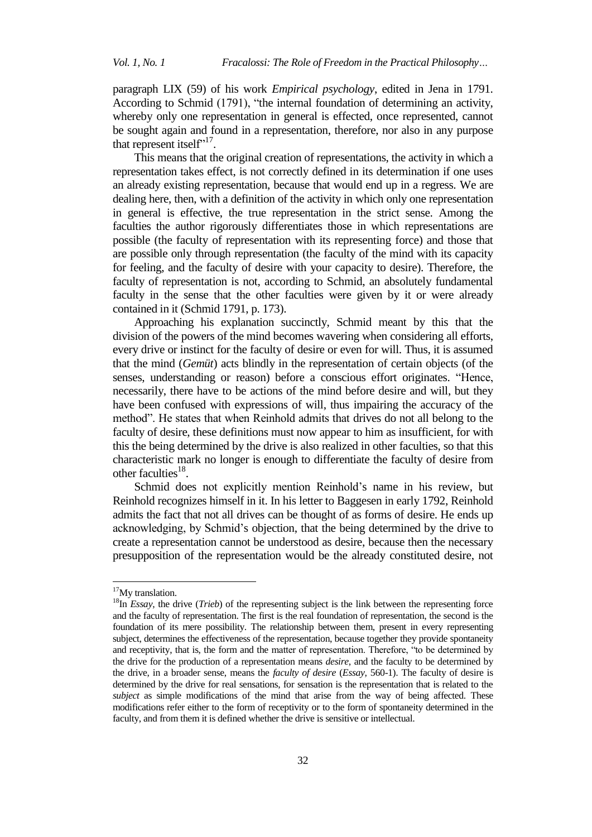paragraph LIX (59) of his work *Empirical psychology*, edited in Jena in 1791. According to Schmid (1791), "the internal foundation of determining an activity, whereby only one representation in general is effected, once represented, cannot be sought again and found in a representation, therefore, nor also in any purpose that represent itself".<sup>17</sup>.

This means that the original creation of representations, the activity in which a representation takes effect, is not correctly defined in its determination if one uses an already existing representation, because that would end up in a regress. We are dealing here, then, with a definition of the activity in which only one representation in general is effective, the true representation in the strict sense. Among the faculties the author rigorously differentiates those in which representations are possible (the faculty of representation with its representing force) and those that are possible only through representation (the faculty of the mind with its capacity for feeling, and the faculty of desire with your capacity to desire). Therefore, the faculty of representation is not, according to Schmid, an absolutely fundamental faculty in the sense that the other faculties were given by it or were already contained in it (Schmid 1791, p. 173).

Approaching his explanation succinctly, Schmid meant by this that the division of the powers of the mind becomes wavering when considering all efforts, every drive or instinct for the faculty of desire or even for will. Thus, it is assumed that the mind (*Gemüt*) acts blindly in the representation of certain objects (of the senses, understanding or reason) before a conscious effort originates. "Hence, necessarily, there have to be actions of the mind before desire and will, but they have been confused with expressions of will, thus impairing the accuracy of the method". He states that when Reinhold admits that drives do not all belong to the faculty of desire, these definitions must now appear to him as insufficient, for with this the being determined by the drive is also realized in other faculties, so that this characteristic mark no longer is enough to differentiate the faculty of desire from other faculties<sup>18</sup>.

Schmid does not explicitly mention Reinhold's name in his review, but Reinhold recognizes himself in it. In his letter to Baggesen in early 1792, Reinhold admits the fact that not all drives can be thought of as forms of desire. He ends up acknowledging, by Schmid's objection, that the being determined by the drive to create a representation cannot be understood as desire, because then the necessary presupposition of the representation would be the already constituted desire, not

 $\overline{\phantom{a}}$ 

 $17$ My translation.

<sup>&</sup>lt;sup>18</sup>In *Essay*, the drive (*Trieb*) of the representing subject is the link between the representing force and the faculty of representation. The first is the real foundation of representation, the second is the foundation of its mere possibility. The relationship between them, present in every representing subject, determines the effectiveness of the representation, because together they provide spontaneity and receptivity, that is, the form and the matter of representation. Therefore, "to be determined by the drive for the production of a representation means *desire*, and the faculty to be determined by the drive, in a broader sense, means the *faculty of desire* (*Essay*, 560-1). The faculty of desire is determined by the drive for real sensations, for sensation is the representation that is related to the *subject* as simple modifications of the mind that arise from the way of being affected. These modifications refer either to the form of receptivity or to the form of spontaneity determined in the faculty, and from them it is defined whether the drive is sensitive or intellectual.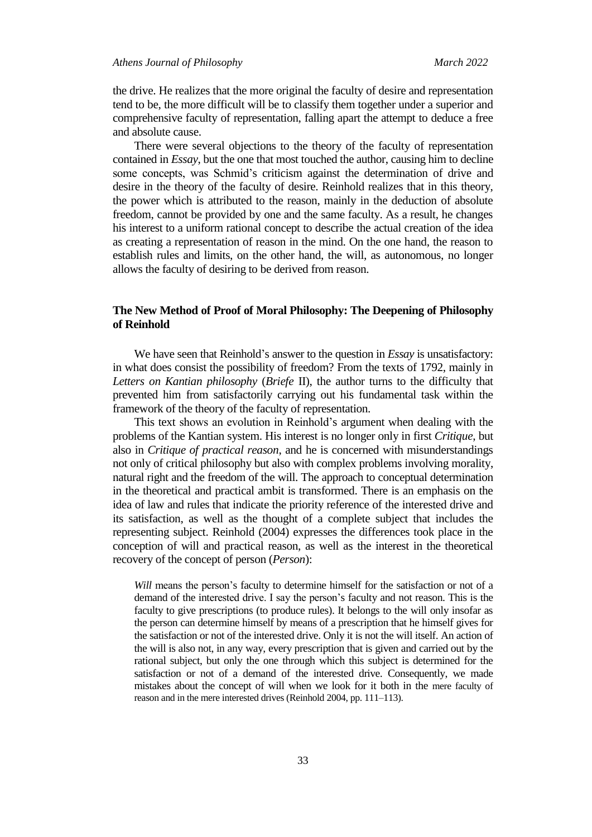the drive. He realizes that the more original the faculty of desire and representation tend to be, the more difficult will be to classify them together under a superior and comprehensive faculty of representation, falling apart the attempt to deduce a free and absolute cause.

There were several objections to the theory of the faculty of representation contained in *Essay*, but the one that most touched the author, causing him to decline some concepts, was Schmid's criticism against the determination of drive and desire in the theory of the faculty of desire. Reinhold realizes that in this theory, the power which is attributed to the reason, mainly in the deduction of absolute freedom, cannot be provided by one and the same faculty. As a result, he changes his interest to a uniform rational concept to describe the actual creation of the idea as creating a representation of reason in the mind. On the one hand, the reason to establish rules and limits, on the other hand, the will, as autonomous, no longer allows the faculty of desiring to be derived from reason.

## **The New Method of Proof of Moral Philosophy: The Deepening of Philosophy of Reinhold**

We have seen that Reinhold's answer to the question in *Essay* is unsatisfactory: in what does consist the possibility of freedom? From the texts of 1792, mainly in *Letters on Kantian philosophy* (*Briefe* II), the author turns to the difficulty that prevented him from satisfactorily carrying out his fundamental task within the framework of the theory of the faculty of representation.

This text shows an evolution in Reinhold's argument when dealing with the problems of the Kantian system. His interest is no longer only in first *Critique*, but also in *Critique of practical reason*, and he is concerned with misunderstandings not only of critical philosophy but also with complex problems involving morality, natural right and the freedom of the will. The approach to conceptual determination in the theoretical and practical ambit is transformed. There is an emphasis on the idea of law and rules that indicate the priority reference of the interested drive and its satisfaction, as well as the thought of a complete subject that includes the representing subject. Reinhold (2004) expresses the differences took place in the conception of will and practical reason, as well as the interest in the theoretical recovery of the concept of person (*Person*):

*Will* means the person's faculty to determine himself for the satisfaction or not of a demand of the interested drive. I say the person's faculty and not reason. This is the faculty to give prescriptions (to produce rules). It belongs to the will only insofar as the person can determine himself by means of a prescription that he himself gives for the satisfaction or not of the interested drive. Only it is not the will itself. An action of the will is also not, in any way, every prescription that is given and carried out by the rational subject, but only the one through which this subject is determined for the satisfaction or not of a demand of the interested drive. Consequently, we made mistakes about the concept of will when we look for it both in the mere faculty of reason and in the mere interested drives (Reinhold 2004, pp. 111–113).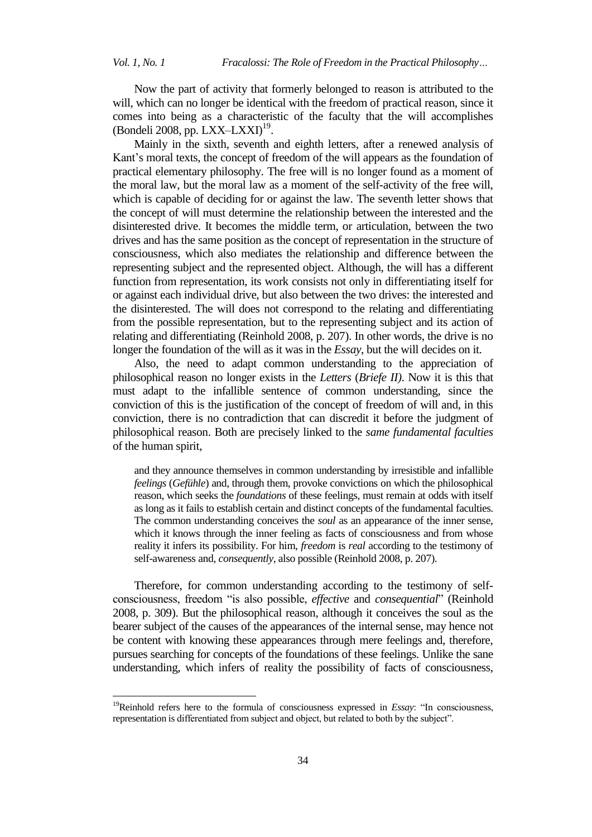l

Now the part of activity that formerly belonged to reason is attributed to the will, which can no longer be identical with the freedom of practical reason, since it comes into being as a characteristic of the faculty that the will accomplishes (Bondeli 2008, pp. LXX–LXXI) 19 .

Mainly in the sixth, seventh and eighth letters, after a renewed analysis of Kant's moral texts, the concept of freedom of the will appears as the foundation of practical elementary philosophy. The free will is no longer found as a moment of the moral law, but the moral law as a moment of the self-activity of the free will, which is capable of deciding for or against the law. The seventh letter shows that the concept of will must determine the relationship between the interested and the disinterested drive. It becomes the middle term, or articulation, between the two drives and has the same position as the concept of representation in the structure of consciousness, which also mediates the relationship and difference between the representing subject and the represented object. Although, the will has a different function from representation, its work consists not only in differentiating itself for or against each individual drive, but also between the two drives: the interested and the disinterested. The will does not correspond to the relating and differentiating from the possible representation, but to the representing subject and its action of relating and differentiating (Reinhold 2008, p. 207). In other words, the drive is no longer the foundation of the will as it was in the *Essay*, but the will decides on it.

Also, the need to adapt common understanding to the appreciation of philosophical reason no longer exists in the *Letters* (*Briefe II)*. Now it is this that must adapt to the infallible sentence of common understanding, since the conviction of this is the justification of the concept of freedom of will and, in this conviction, there is no contradiction that can discredit it before the judgment of philosophical reason. Both are precisely linked to the *same fundamental faculties* of the human spirit,

and they announce themselves in common understanding by irresistible and infallible *feelings* (*Gefühle*) and, through them, provoke convictions on which the philosophical reason, which seeks the *foundations* of these feelings, must remain at odds with itself as long as it fails to establish certain and distinct concepts of the fundamental faculties. The common understanding conceives the *soul* as an appearance of the inner sense, which it knows through the inner feeling as facts of consciousness and from whose reality it infers its possibility. For him, *freedom* is *real* according to the testimony of self-awareness and, *consequently*, also possible (Reinhold 2008, p. 207).

Therefore, for common understanding according to the testimony of selfconsciousness, freedom "is also possible, *effective* and *consequential*" (Reinhold 2008, p. 309). But the philosophical reason, although it conceives the soul as the bearer subject of the causes of the appearances of the internal sense, may hence not be content with knowing these appearances through mere feelings and, therefore, pursues searching for concepts of the foundations of these feelings. Unlike the sane understanding, which infers of reality the possibility of facts of consciousness,

<sup>19</sup>Reinhold refers here to the formula of consciousness expressed in *Essay*: "In consciousness, representation is differentiated from subject and object, but related to both by the subject".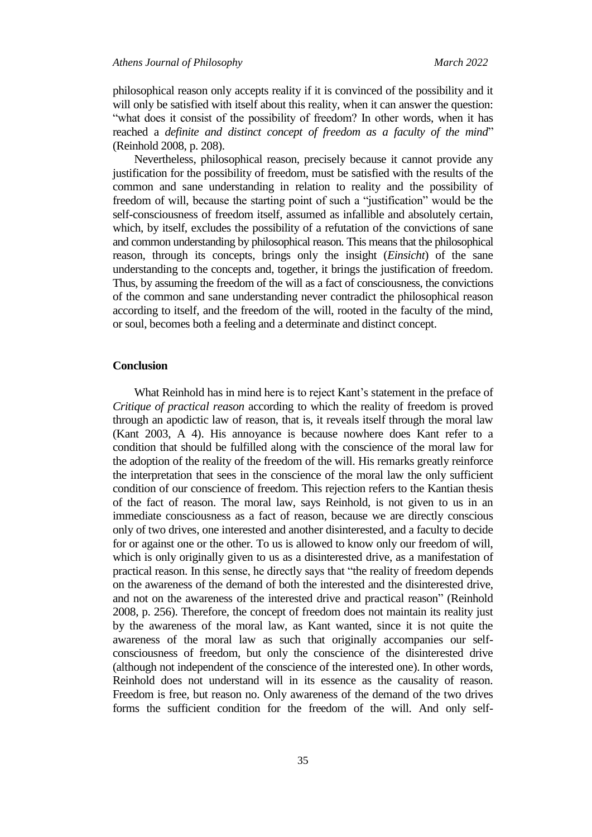philosophical reason only accepts reality if it is convinced of the possibility and it will only be satisfied with itself about this reality, when it can answer the question: "what does it consist of the possibility of freedom? In other words, when it has reached a *definite and distinct concept of freedom as a faculty of the mind*" (Reinhold 2008, p. 208).

Nevertheless, philosophical reason, precisely because it cannot provide any justification for the possibility of freedom, must be satisfied with the results of the common and sane understanding in relation to reality and the possibility of freedom of will, because the starting point of such a "justification" would be the self-consciousness of freedom itself, assumed as infallible and absolutely certain, which, by itself, excludes the possibility of a refutation of the convictions of sane and common understanding by philosophical reason. This means that the philosophical reason, through its concepts, brings only the insight (*Einsicht*) of the sane understanding to the concepts and, together, it brings the justification of freedom. Thus, by assuming the freedom of the will as a fact of consciousness, the convictions of the common and sane understanding never contradict the philosophical reason according to itself, and the freedom of the will, rooted in the faculty of the mind, or soul, becomes both a feeling and a determinate and distinct concept.

#### **Conclusion**

What Reinhold has in mind here is to reject Kant's statement in the preface of *Critique of practical reason* according to which the reality of freedom is proved through an apodictic law of reason, that is, it reveals itself through the moral law (Kant 2003, A 4). His annoyance is because nowhere does Kant refer to a condition that should be fulfilled along with the conscience of the moral law for the adoption of the reality of the freedom of the will. His remarks greatly reinforce the interpretation that sees in the conscience of the moral law the only sufficient condition of our conscience of freedom. This rejection refers to the Kantian thesis of the fact of reason. The moral law, says Reinhold, is not given to us in an immediate consciousness as a fact of reason, because we are directly conscious only of two drives, one interested and another disinterested, and a faculty to decide for or against one or the other. To us is allowed to know only our freedom of will, which is only originally given to us as a disinterested drive, as a manifestation of practical reason. In this sense, he directly says that "the reality of freedom depends on the awareness of the demand of both the interested and the disinterested drive, and not on the awareness of the interested drive and practical reason" (Reinhold 2008, p. 256). Therefore, the concept of freedom does not maintain its reality just by the awareness of the moral law, as Kant wanted, since it is not quite the awareness of the moral law as such that originally accompanies our selfconsciousness of freedom, but only the conscience of the disinterested drive (although not independent of the conscience of the interested one). In other words, Reinhold does not understand will in its essence as the causality of reason. Freedom is free, but reason no. Only awareness of the demand of the two drives forms the sufficient condition for the freedom of the will. And only self-